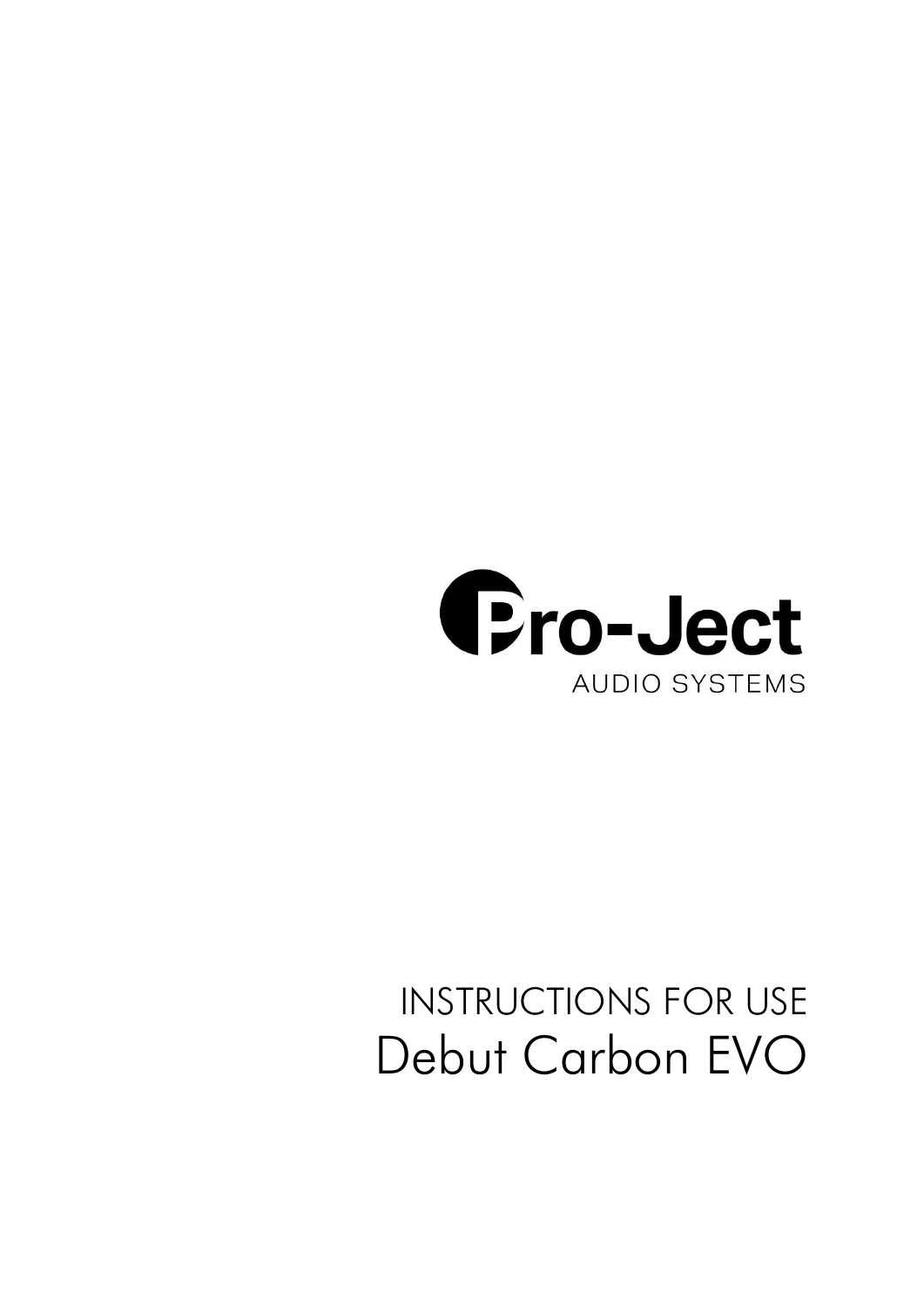

# INSTRUCTIONS FOR USE Debut Carbon EVO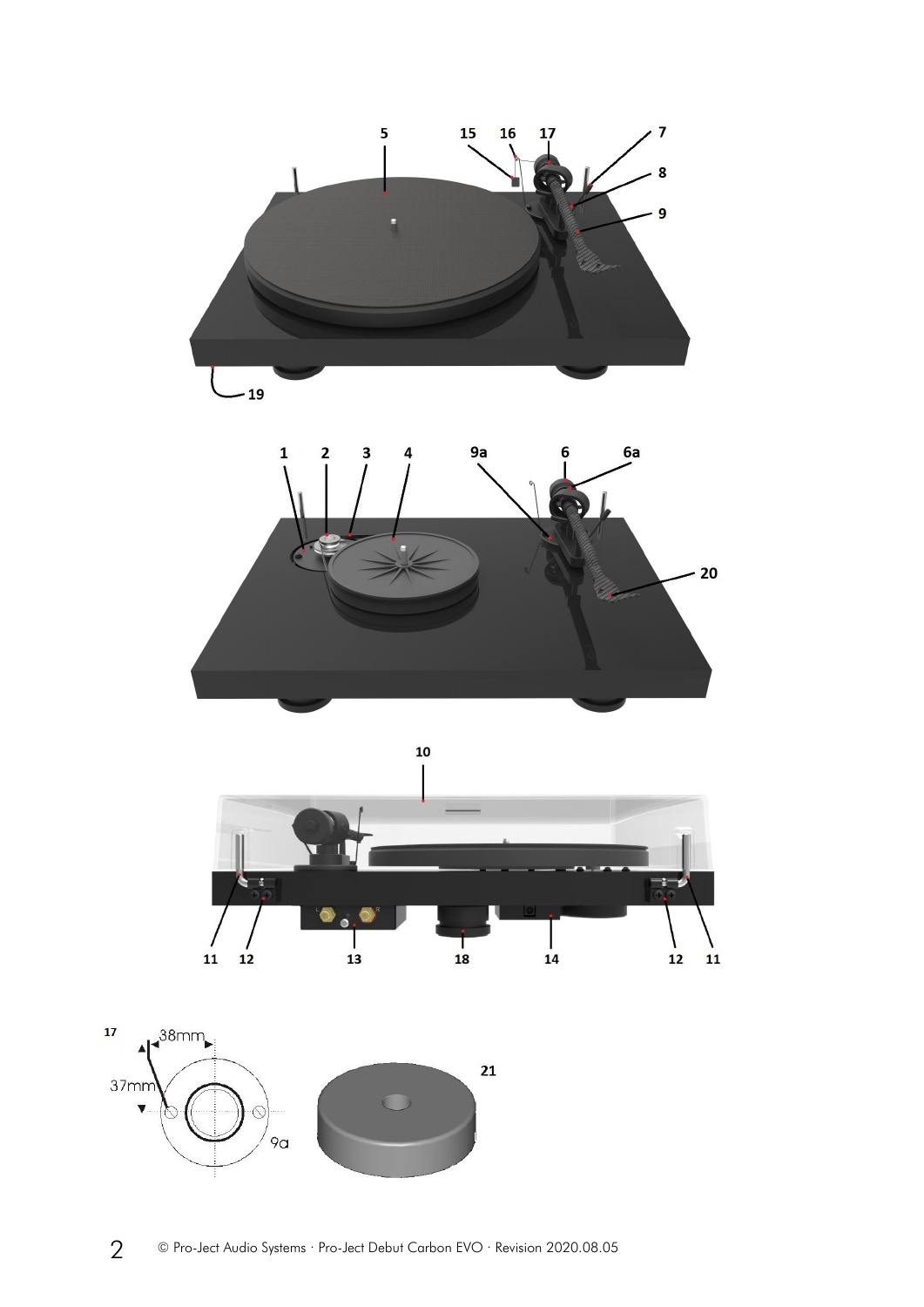



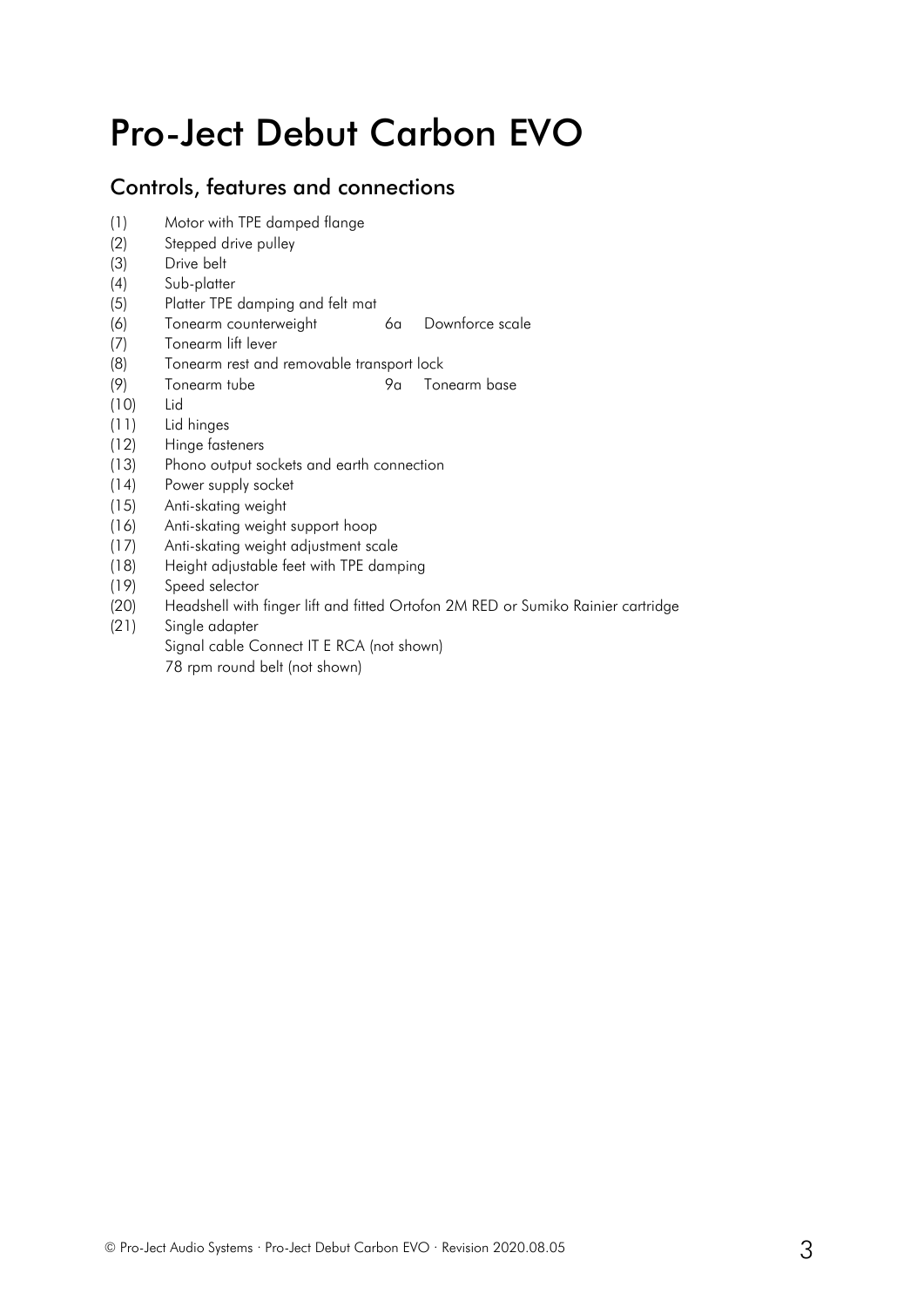## Pro-Ject Debut Carbon EVO

## Controls, features and connections

- (1) Motor with TPE damped flange
- (2) Stepped drive pulley
- (3) Drive belt
- (4) Sub-platter
- (5) Platter TPE damping and felt mat
- (6) Tonearm counterweight 6a Downforce scale
- (7) Tonearm lift lever
- (8) Tonearm rest and removable transport lock
- (9) Tonearm tube 9a Tonearm base
- (10) Lid
- (11) Lid hinges
- (12) Hinge fasteners
- (13) Phono output sockets and earth connection
- (14) Power supply socket
- (15) Anti-skating weight
- (16) Anti-skating weight support hoop
- (17) Anti-skating weight adjustment scale
- (18) Height adjustable feet with TPE damping
- (19) Speed selector
- (20) Headshell with finger lift and fitted Ortofon 2M RED or Sumiko Rainier cartridge
- (21) Single adapter
	- Signal cable Connect IT E RCA (not shown)
		- 78 rpm round belt (not shown)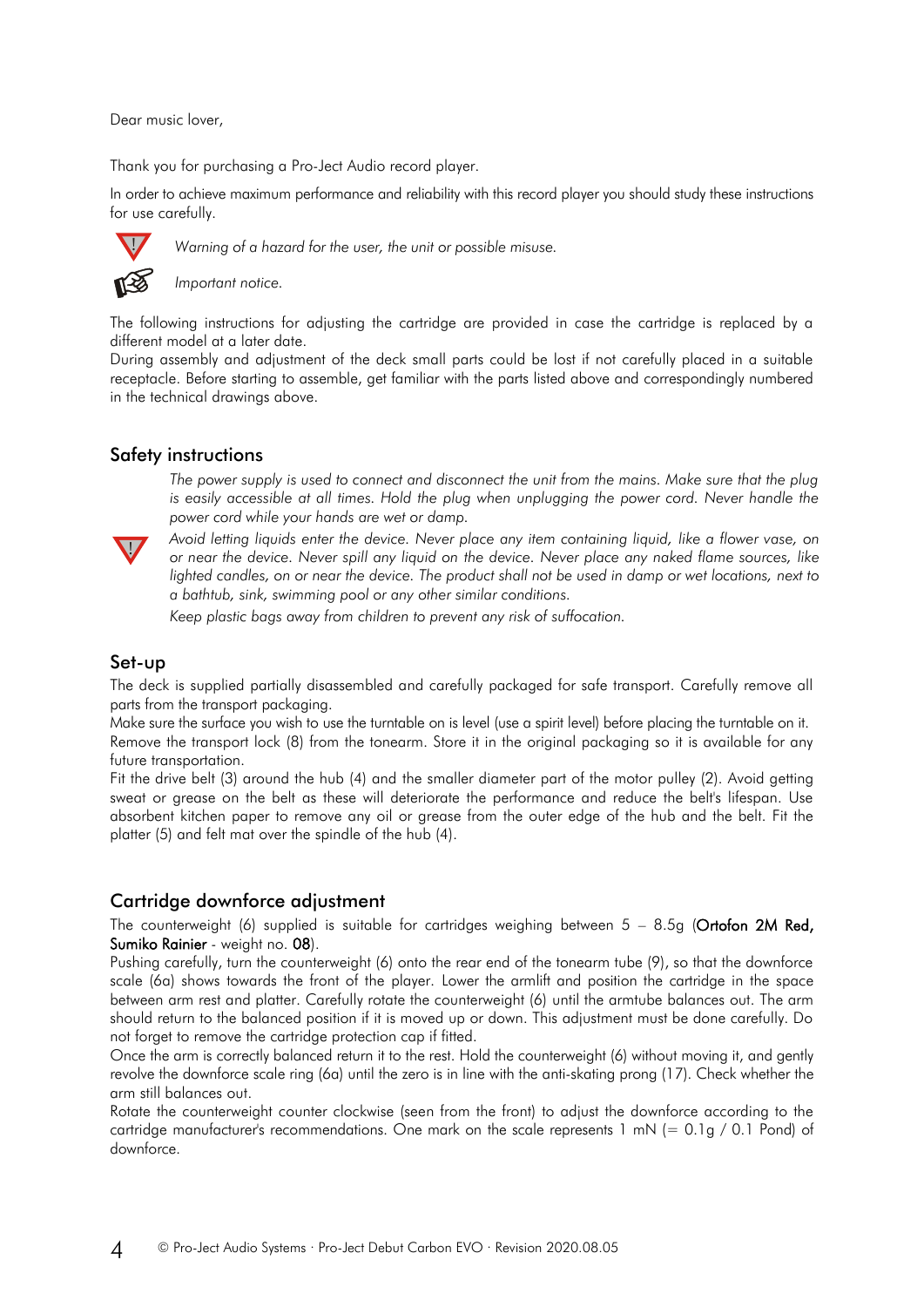Dear music lover,

Thank you for purchasing a Pro-Ject Audio record player.

In order to achieve maximum performance and reliability with this record player you should study these instructions for use carefully.



*Warning of a hazard for the user, the unit or possible misuse.*

*Important notice.*

The following instructions for adjusting the cartridge are provided in case the cartridge is replaced by a different model at a later date.

During assembly and adjustment of the deck small parts could be lost if not carefully placed in a suitable receptacle. Before starting to assemble, get familiar with the parts listed above and correspondingly numbered in the technical drawings above.

## Safety instructions

The power supply is used to connect and disconnect the unit from the mains. Make sure that the plug *is easily accessible at all times. Hold the plug when unplugging the power cord. Never handle the power cord while your hands are wet or damp.*



*Avoid letting liquids enter the device. Never place any item containing liquid, like a flower vase, on or near the device. Never spill any liquid on the device. Never place any naked flame sources, like lighted candles, on or near the device. The product shall not be used in damp or wet locations, next to a bathtub, sink, swimming pool or any other similar conditions.*

*Keep plastic bags away from children to prevent any risk of suffocation.*

#### Set-up

The deck is supplied partially disassembled and carefully packaged for safe transport. Carefully remove all parts from the transport packaging.

Make sure the surface you wish to use the turntable on is level (use a spirit level) before placing the turntable on it. Remove the transport lock (8) from the tonearm. Store it in the original packaging so it is available for any future transportation.

Fit the drive belt (3) around the hub (4) and the smaller diameter part of the motor pulley (2). Avoid getting sweat or grease on the belt as these will deteriorate the performance and reduce the belt's lifespan. Use absorbent kitchen paper to remove any oil or grease from the outer edge of the hub and the belt. Fit the platter (5) and felt mat over the spindle of the hub (4).

#### Cartridge downforce adjustment

The counterweight (6) supplied is suitable for cartridges weighing between  $5 - 8.5g$  (Ortofon 2M Red, Sumiko Rainier - weight no. 08).

Pushing carefully, turn the counterweight (6) onto the rear end of the tonearm tube (9), so that the downforce scale (6a) shows towards the front of the player. Lower the armlift and position the cartridge in the space between arm rest and platter. Carefully rotate the counterweight (6) until the armtube balances out. The arm should return to the balanced position if it is moved up or down. This adjustment must be done carefully. Do not forget to remove the cartridge protection cap if fitted.

Once the arm is correctly balanced return it to the rest. Hold the counterweight (6) without moving it, and gently revolve the downforce scale ring (6a) until the zero is in line with the anti-skating prong (17). Check whether the arm still balances out.

Rotate the counterweight counter clockwise (seen from the front) to adjust the downforce according to the cartridge manufacturer's recommendations. One mark on the scale represents 1 mN (= 0.1g / 0.1 Pond) of downforce.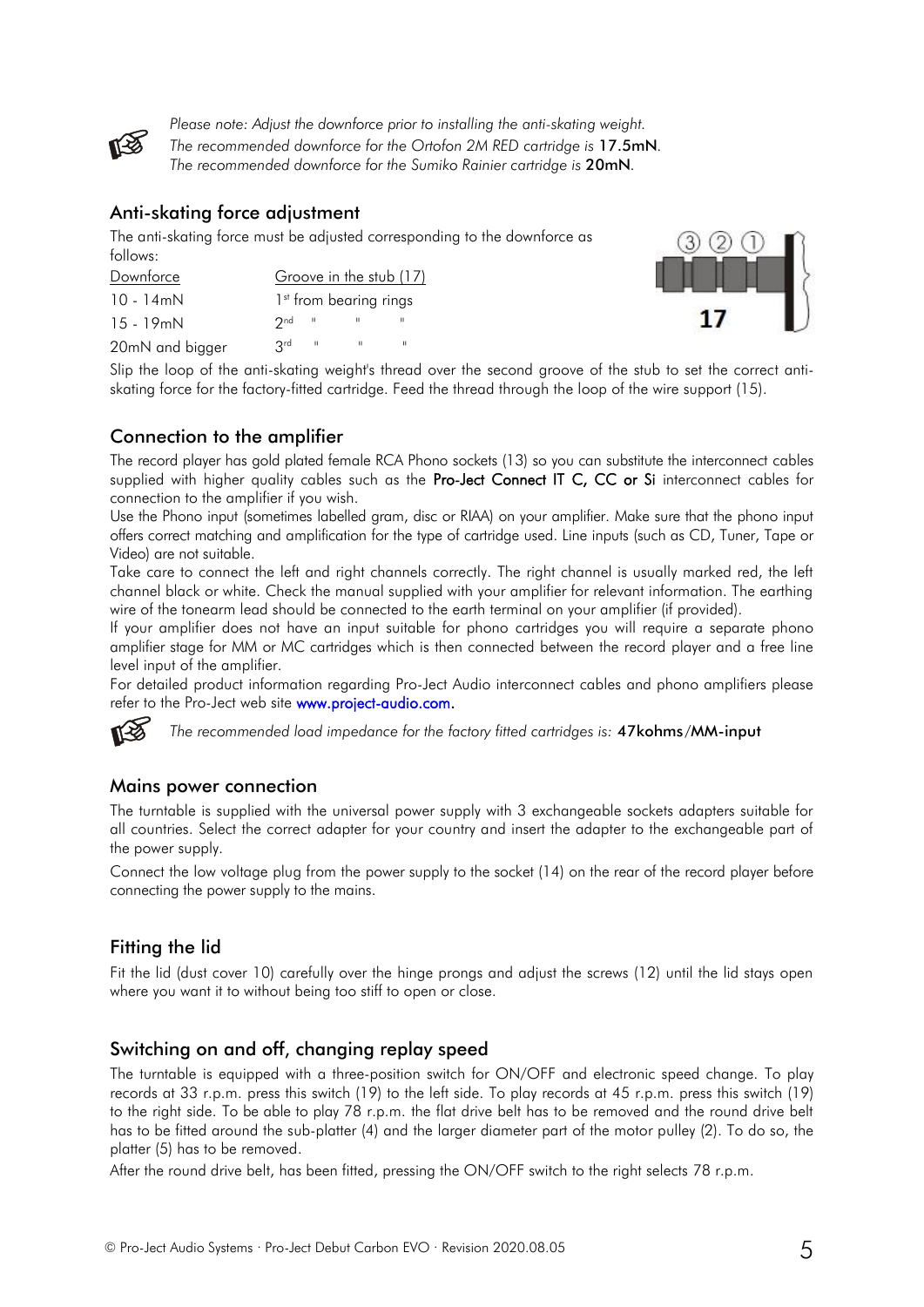

*Please note: Adjust the downforce prior to installing the anti-skating weight. The recommended downforce for the Ortofon 2M RED cartridge is* 17.5mN*. The recommended downforce for the Sumiko Rainier cartridge is* 20mN*.*

## Anti-skating force adjustment

The anti-skating force must be adjusted corresponding to the downforce as follows:

| Downforce       | Groove in the stub (17)            |
|-----------------|------------------------------------|
| 10 - 14mN       | 1 <sup>st</sup> from bearing rings |
| $15 - 19$ mN    | $2nd$ "                            |
| 20mN and bigger | ⊪ ard                              |



Slip the loop of the anti-skating weight's thread over the second groove of the stub to set the correct antiskating force for the factory-fitted cartridge. Feed the thread through the loop of the wire support (15).

## Connection to the amplifier

The record player has gold plated female RCA Phono sockets (13) so you can substitute the interconnect cables supplied with higher quality cables such as the Pro-Ject Connect IT C, CC or Si interconnect cables for connection to the amplifier if you wish.

Use the Phono input (sometimes labelled gram, disc or RIAA) on your amplifier. Make sure that the phono input offers correct matching and amplification for the type of cartridge used. Line inputs (such as CD, Tuner, Tape or Video) are not suitable.

Take care to connect the left and right channels correctly. The right channel is usually marked red, the left channel black or white. Check the manual supplied with your amplifier for relevant information. The earthing wire of the tonearm lead should be connected to the earth terminal on your amplifier (if provided).

If your amplifier does not have an input suitable for phono cartridges you will require a separate phono amplifier stage for MM or MC cartridges which is then connected between the record player and a free line level input of the amplifier.

For detailed product information regarding Pro-Ject Audio interconnect cables and phono amplifiers please refer to the Pro-Ject web site **www.project-audio.com.** 



*The recommended load impedance for the factory fitted cartridges is:* 47kohms/MM-input

## Mains power connection

The turntable is supplied with the universal power supply with 3 exchangeable sockets adapters suitable for all countries. Select the correct adapter for your country and insert the adapter to the exchangeable part of the power supply.

Connect the low voltage plug from the power supply to the socket (14) on the rear of the record player before connecting the power supply to the mains.

## Fitting the lid

Fit the lid (dust cover 10) carefully over the hinge prongs and adjust the screws (12) until the lid stays open where you want it to without being too stiff to open or close.

## Switching on and off, changing replay speed

The turntable is equipped with a three-position switch for ON/OFF and electronic speed change. To play records at 33 r.p.m. press this switch (19) to the left side. To play records at 45 r.p.m. press this switch (19) to the right side. To be able to play 78 r.p.m. the flat drive belt has to be removed and the round drive belt has to be fitted around the sub-platter (4) and the larger diameter part of the motor pulley (2). To do so, the platter (5) has to be removed.

After the round drive belt, has been fitted, pressing the ON/OFF switch to the right selects 78 r.p.m.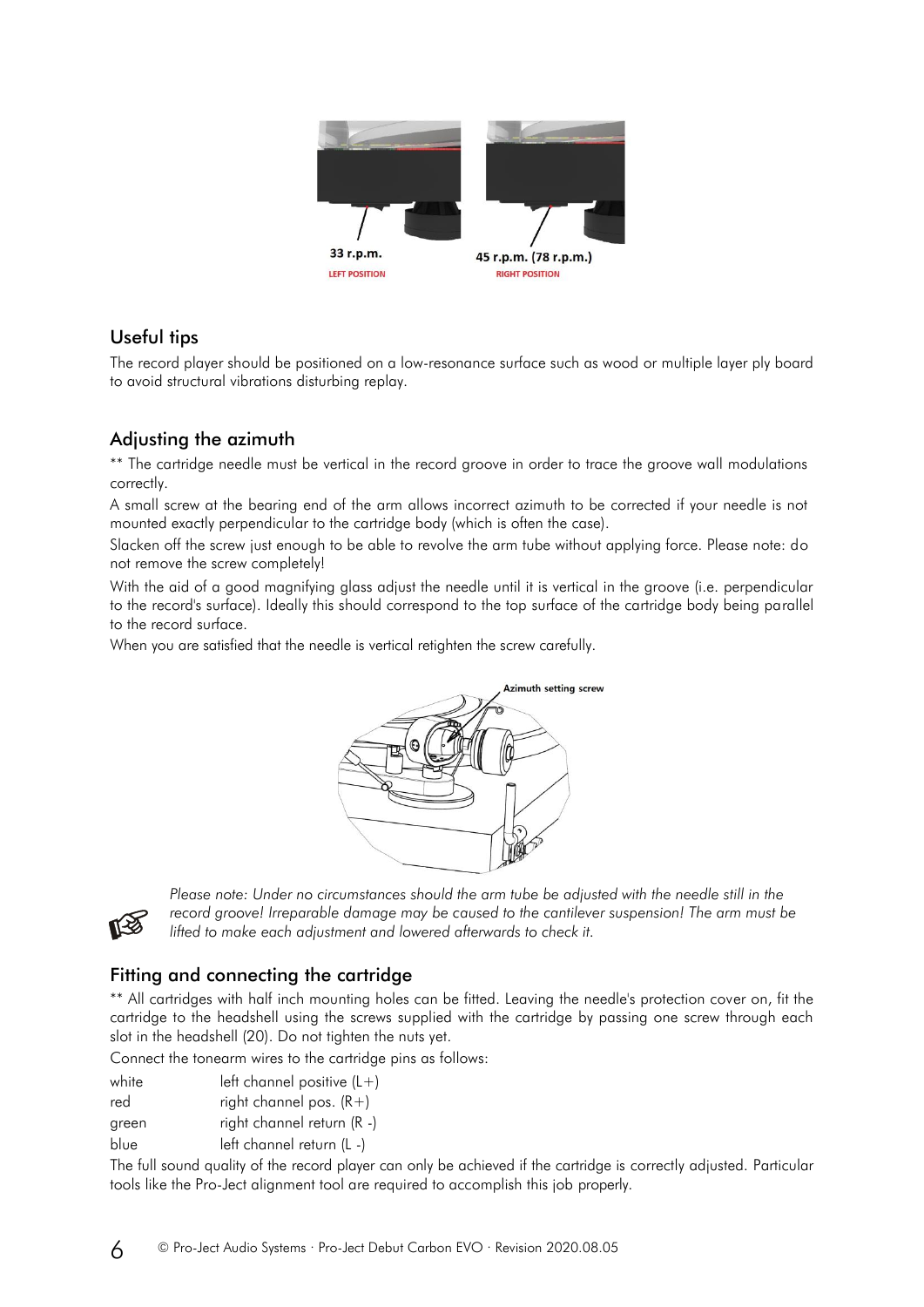

## Useful tips

The record player should be positioned on a low-resonance surface such as wood or multiple layer ply board to avoid structural vibrations disturbing replay.

## Adjusting the azimuth

\*\* The cartridge needle must be vertical in the record groove in order to trace the groove wall modulations correctly.

A small screw at the bearing end of the arm allows incorrect azimuth to be corrected if your needle is not mounted exactly perpendicular to the cartridge body (which is often the case).

Slacken off the screw just enough to be able to revolve the arm tube without applying force. Please note: do not remove the screw completely!

With the aid of a good magnifying glass adjust the needle until it is vertical in the groove (i.e. perpendicular to the record's surface). Ideally this should correspond to the top surface of the cartridge body being parallel to the record surface.

When you are satisfied that the needle is vertical retighten the screw carefully.





Please note: Under no circumstances should the arm tube be adjusted with the needle still in the *record groove! Irreparable damage may be caused to the cantilever suspension! The arm must be lifted to make each adjustment and lowered afterwards to check it.*

## Fitting and connecting the cartridge

\*\* All cartridges with half inch mounting holes can be fitted. Leaving the needle's protection cover on, fit the cartridge to the headshell using the screws supplied with the cartridge by passing one screw through each slot in the headshell (20). Do not tighten the nuts yet.

Connect the tonearm wires to the cartridge pins as follows:

| white | left channel positive $(L+)$ |  |  |
|-------|------------------------------|--|--|
|-------|------------------------------|--|--|

red  $right channel pos. (R+)$ 

green right channel return (R -)

blue left channel return (L -)

The full sound quality of the record player can only be achieved if the cartridge is correctly adjusted. Particular tools like the Pro-Ject alignment tool are required to accomplish this job properly.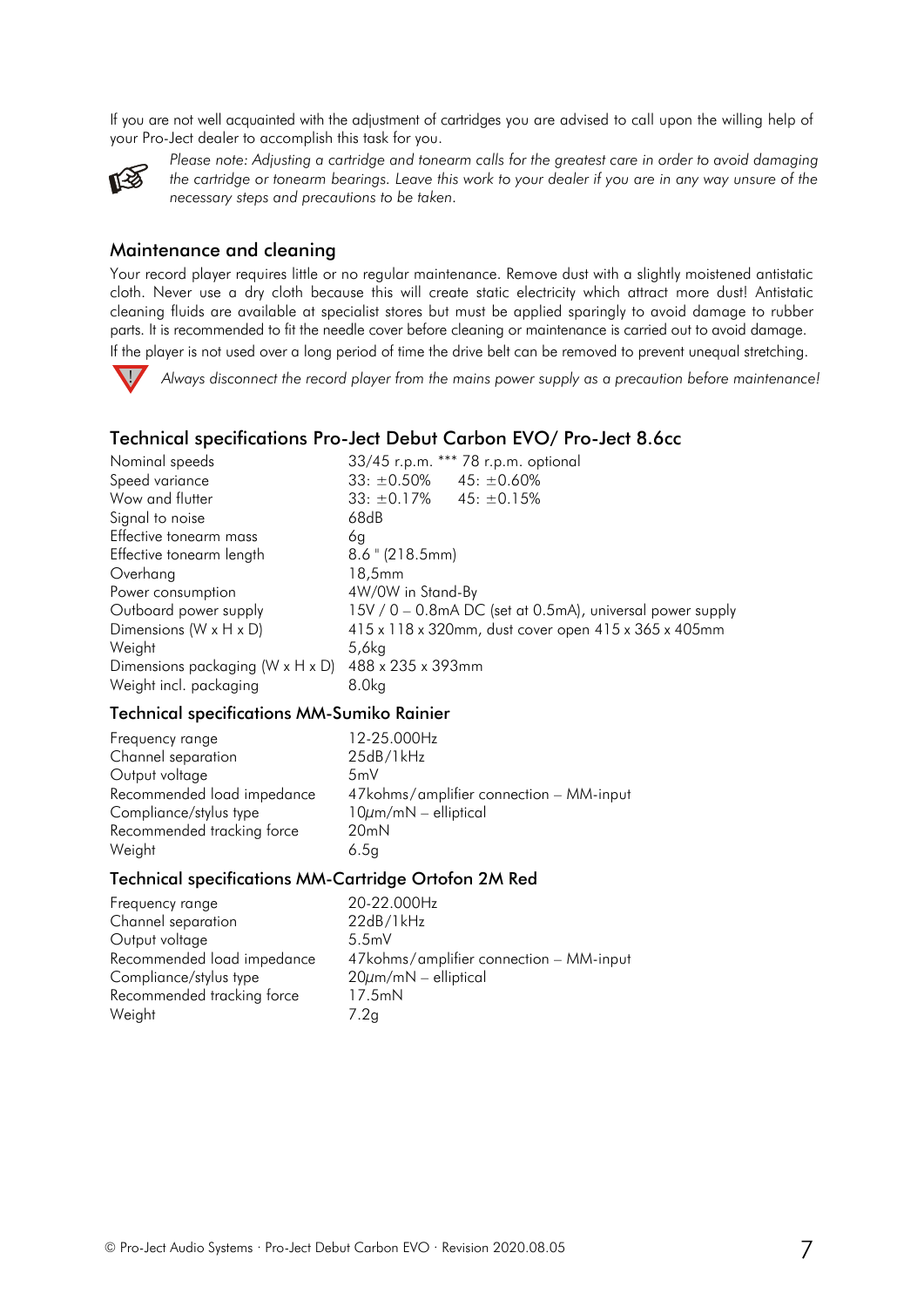If you are not well acquainted with the adjustment of cartridges you are advised to call upon the willing help of your Pro-Ject dealer to accomplish this task for you.



*Please note: Adjusting a cartridge and tonearm calls for the greatest care in order to avoid damaging the cartridge or tonearm bearings. Leave this work to your dealer if you are in any way unsure of the necessary steps and precautions to be taken.*

### Maintenance and cleaning

Your record player requires little or no regular maintenance. Remove dust with a slightly moistened antistatic cloth. Never use a dry cloth because this will create static electricity which attract more dust! Antistatic cleaning fluids are available at specialist stores but must be applied sparingly to avoid damage to rubber parts. It is recommended to fit the needle cover before cleaning or maintenance is carried out to avoid damage. If the player is not used over a long period of time the drive belt can be removed to prevent unequal stretching.



*Always disconnect the record player from the mains power supply as a precaution before maintenance!*

## Technical specifications Pro-Ject Debut Carbon EVO/ Pro-Ject 8.6cc

| Nominal speeds                   | 33/45 r.p.m. *** 78 r.p.m. optional                       |
|----------------------------------|-----------------------------------------------------------|
| Speed variance                   | $33: \pm 0.50\%$ 45: $\pm 0.60\%$                         |
| Wow and flutter                  | $33: \pm 0.17\%$ 45: $\pm 0.15\%$                         |
| Signal to noise                  | 68dB                                                      |
| Effective tonearm mass           | 6q                                                        |
| Effective tonearm length         | $8.6$ " (218.5mm)                                         |
| Overhang                         | 18,5mm                                                    |
| Power consumption                | 4W/0W in Stand-By                                         |
| Outboard power supply            | 15V / 0 – 0.8mA DC (set at 0.5mA), universal power supply |
| Dimensions (W x H x D)           | 415 x 118 x 320mm, dust cover open 415 x 365 x 405mm      |
| Weight                           | 5,6kg                                                     |
| Dimensions packaging (W x H x D) | 488 x 235 x 393mm                                         |
| Weight incl. packaging           | 8.0kg                                                     |

#### Technical specifications MM-Sumiko Rainier

| Frequency range            | 12-25.000Hz                             |
|----------------------------|-----------------------------------------|
| Channel separation         | 25dB/1kHz                               |
| Output voltage             | 5mV                                     |
| Recommended load impedance | 47kohms/amplifier connection – MM-input |
| Compliance/stylus type     | $10 \mu m/mN$ – elliptical              |
| Recommended tracking force | 20mN                                    |
| Weight                     | 6.5g                                    |
|                            |                                         |

## Technical specifications MM-Cartridge Ortofon 2M Red

| Frequency range            | 20-22.000Hz                             |
|----------------------------|-----------------------------------------|
| Channel separation         | 22dB/1kHz                               |
| Output voltage             | 5.5mV                                   |
| Recommended load impedance | 47kohms/amplifier connection - MM-input |
| Compliance/stylus type     | $20 \mu m/mN$ – elliptical              |
| Recommended tracking force | 17.5mN                                  |
| Weight                     | 7.2q                                    |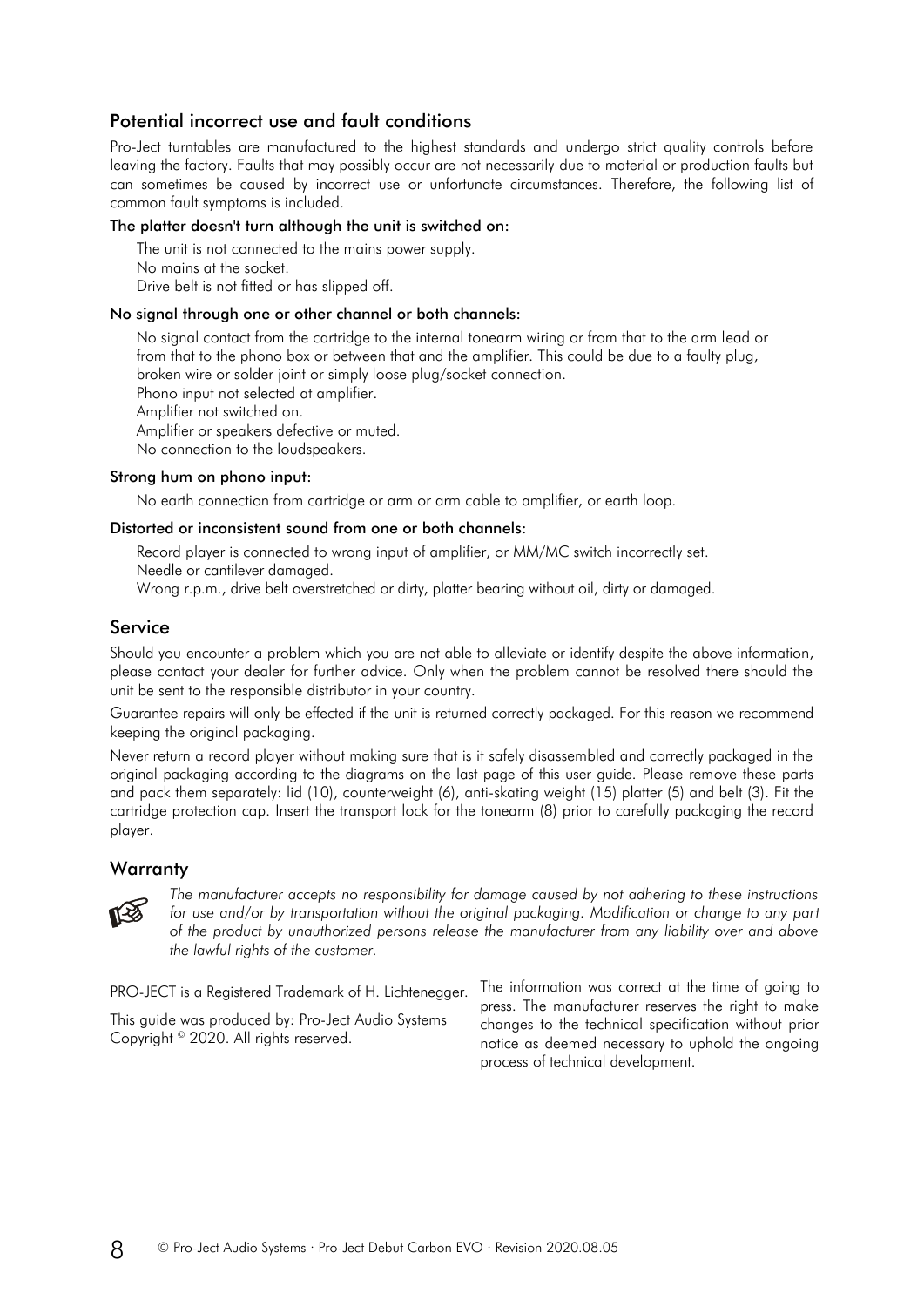## Potential incorrect use and fault conditions

Pro-Ject turntables are manufactured to the highest standards and undergo strict quality controls before leaving the factory. Faults that may possibly occur are not necessarily due to material or production faults but can sometimes be caused by incorrect use or unfortunate circumstances. Therefore, the following list of common fault symptoms is included.

#### The platter doesn't turn although the unit is switched on:

The unit is not connected to the mains power supply. No mains at the socket. Drive belt is not fitted or has slipped off.

#### No signal through one or other channel or both channels:

No signal contact from the cartridge to the internal tonearm wiring or from that to the arm lead or from that to the phono box or between that and the amplifier. This could be due to a faulty plug, broken wire or solder joint or simply loose plug/socket connection. Phono input not selected at amplifier.

Amplifier not switched on.

Amplifier or speakers defective or muted.

No connection to the loudspeakers.

#### Strong hum on phono input:

No earth connection from cartridge or arm or arm cable to amplifier, or earth loop.

#### Distorted or inconsistent sound from one or both channels:

Record player is connected to wrong input of amplifier, or MM/MC switch incorrectly set. Needle or cantilever damaged.

Wrong r.p.m., drive belt overstretched or dirty, platter bearing without oil, dirty or damaged.

## Service

Should you encounter a problem which you are not able to alleviate or identify despite the above information, please contact your dealer for further advice. Only when the problem cannot be resolved there should the unit be sent to the responsible distributor in your country.

Guarantee repairs will only be effected if the unit is returned correctly packaged. For this reason we recommend keeping the original packaging.

Never return a record player without making sure that is it safely disassembled and correctly packaged in the original packaging according to the diagrams on the last page of this user guide. Please remove these parts and pack them separately: lid (10), counterweight (6), anti-skating weight (15) platter (5) and belt (3). Fit the cartridge protection cap. Insert the transport lock for the tonearm (8) prior to carefully packaging the record player.

#### **Warranty**



*The manufacturer accepts no responsibility for damage caused by not adhering to these instructions for use and/or by transportation without the original packaging. Modification or change to any part of the product by unauthorized persons release the manufacturer from any liability over and above the lawful rights of the customer.*

PRO-JECT is a Registered Trademark of H. Lichtenegger.

This guide was produced by: Pro-Ject Audio Systems Copyright © 2020. All rights reserved.

The information was correct at the time of going to press. The manufacturer reserves the right to make changes to the technical specification without prior notice as deemed necessary to uphold the ongoing process of technical development.